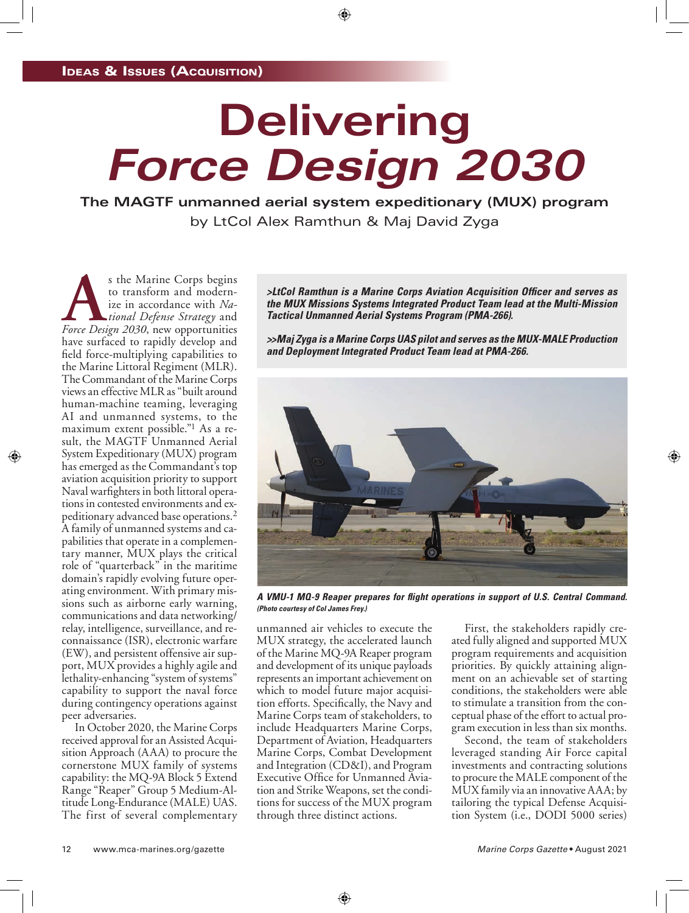# **Delivering** *Force Design 2030*

**The MAGTF unmanned aerial system expeditionary (MUX) program** by LtCol Alex Ramthun & Maj David Zyga

**As the Marine Corps begins**<br>to transform and modern-<br>ize in accordance with *Na-*<br>*Force Design 2030*, new opportunities to transform and modernize in accordance with *National Defense Strategy* and have surfaced to rapidly develop and field force-multiplying capabilities to the Marine Littoral Regiment (MLR). The Commandant of the Marine Corps views an effective MLR as "built around human-machine teaming, leveraging AI and unmanned systems, to the maximum extent possible."1 As a result, the MAGTF Unmanned Aerial System Expeditionary (MUX) program has emerged as the Commandant's top aviation acquisition priority to support Naval warfighters in both littoral operations in contested environments and expeditionary advanced base operations.2 A family of unmanned systems and capabilities that operate in a complementary manner, MUX plays the critical role of "quarterback" in the maritime domain's rapidly evolving future operating environment. With primary missions such as airborne early warning, communications and data networking/ relay, intelligence, surveillance, and reconnaissance (ISR), electronic warfare (EW), and persistent offensive air support, MUX provides a highly agile and lethality-enhancing "system of systems" capability to support the naval force during contingency operations against peer adversaries.

In October 2020, the Marine Corps received approval for an Assisted Acquisition Approach (AAA) to procure the cornerstone MUX family of systems capability: the MQ-9A Block 5 Extend Range "Reaper" Group 5 Medium-Altitude Long-Endurance (MALE) UAS. The first of several complementary *>LtCol Ramthun is a Marine Corps Aviation Acquisition Officer and serves as the MUX Missions Systems Integrated Product Team lead at the Multi-Mission Tactical Unmanned Aerial Systems Program (PMA-266).*

*>>Maj Zyga is a Marine Corps UAS pilot and serves as the MUX-MALE Production and Deployment Integrated Product Team lead at PMA-266.*



*A VMU-1 MQ-9 Reaper prepares for flight operations in support of U.S. Central Command. (Photo courtesy of Col James Frey.)*

unmanned air vehicles to execute the MUX strategy, the accelerated launch of the Marine MQ-9A Reaper program and development of its unique payloads represents an important achievement on which to model future major acquisition efforts. Specifically, the Navy and Marine Corps team of stakeholders, to include Headquarters Marine Corps, Department of Aviation, Headquarters Marine Corps, Combat Development and Integration (CD&I), and Program Executive Office for Unmanned Aviation and Strike Weapons, set the conditions for success of the MUX program through three distinct actions.

First, the stakeholders rapidly created fully aligned and supported MUX program requirements and acquisition priorities. By quickly attaining alignment on an achievable set of starting conditions, the stakeholders were able to stimulate a transition from the conceptual phase of the effort to actual program execution in less than six months.

Second, the team of stakeholders leveraged standing Air Force capital investments and contracting solutions to procure the MALE component of the MUX family via an innovative AAA; by tailoring the typical Defense Acquisition System (i.e., DODI 5000 series)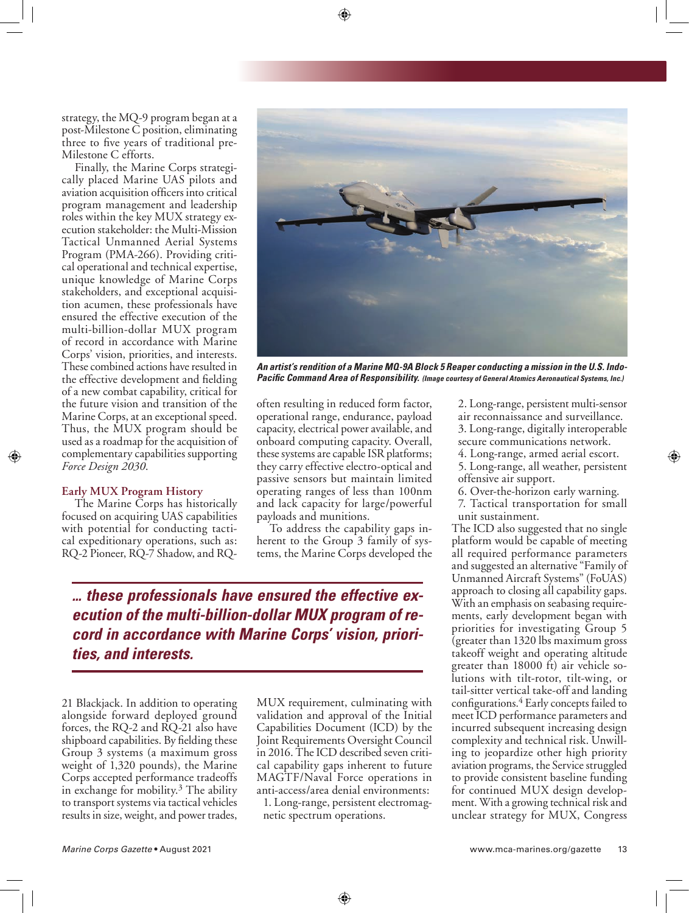strategy, the MQ-9 program began at a post-Milestone C position, eliminating three to five years of traditional pre-Milestone C efforts.

Finally, the Marine Corps strategically placed Marine UAS pilots and aviation acquisition officers into critical program management and leadership roles within the key MUX strategy execution stakeholder: the Multi-Mission Tactical Unmanned Aerial Systems Program (PMA-266). Providing critical operational and technical expertise, unique knowledge of Marine Corps stakeholders, and exceptional acquisition acumen, these professionals have ensured the effective execution of the multi-billion-dollar MUX program of record in accordance with Marine Corps' vision, priorities, and interests. These combined actions have resulted in the effective development and fielding of a new combat capability, critical for the future vision and transition of the Marine Corps, at an exceptional speed. Thus, the MUX program should be used as a roadmap for the acquisition of complementary capabilities supporting *Force Design 2030*.

#### **Early MUX Program History**

The Marine Corps has historically focused on acquiring UAS capabilities with potential for conducting tactical expeditionary operations, such as: RQ-2 Pioneer, RQ-7 Shadow, and RQ-



*An artist's rendition of a Marine MQ-9A Block 5 Reaper conducting a mission in the U.S. Indo-Pacific Command Area of Responsibility. (Image courtesy of General Atomics Aeronautical Systems, Inc.)*

often resulting in reduced form factor, operational range, endurance, payload capacity, electrical power available, and onboard computing capacity. Overall, these systems are capable ISR platforms; they carry effective electro-optical and passive sensors but maintain limited operating ranges of less than 100nm and lack capacity for large/powerful payloads and munitions.

To address the capability gaps inherent to the Group 3 family of systems, the Marine Corps developed the

*... these professionals have ensured the effective execution of the multi-billion-dollar MUX program of record in accordance with Marine Corps' vision, priorities, and interests.*

21 Blackjack. In addition to operating alongside forward deployed ground forces, the RQ-2 and RQ-21 also have shipboard capabilities. By fielding these Group 3 systems (a maximum gross weight of 1,320 pounds), the Marine Corps accepted performance tradeoffs in exchange for mobility.3 The ability to transport systems via tactical vehicles results in size, weight, and power trades,

MUX requirement, culminating with validation and approval of the Initial Capabilities Document (ICD) by the Joint Requirements Oversight Council in 2016. The ICD described seven critical capability gaps inherent to future MAGTF/Naval Force operations in anti-access/area denial environments:

1. Long-range, persistent electromagnetic spectrum operations.

2. Long-range, persistent multi-sensor air reconnaissance and surveillance. 3. Long-range, digitally interoperable secure communications network.

4. Long-range, armed aerial escort.

5. Long-range, all weather, persistent offensive air support.

6. Over-the-horizon early warning.

7. Tactical transportation for small unit sustainment.

The ICD also suggested that no single platform would be capable of meeting all required performance parameters and suggested an alternative "Family of Unmanned Aircraft Systems" (FoUAS) approach to closing all capability gaps. With an emphasis on seabasing requirements, early development began with priorities for investigating Group 5 (greater than 1320 lbs maximum gross takeoff weight and operating altitude greater than 18000 ft) air vehicle solutions with tilt-rotor, tilt-wing, or tail-sitter vertical take-off and landing configurations.4 Early concepts failed to meet ICD performance parameters and incurred subsequent increasing design complexity and technical risk. Unwilling to jeopardize other high priority aviation programs, the Service struggled to provide consistent baseline funding for continued MUX design development. With a growing technical risk and unclear strategy for MUX, Congress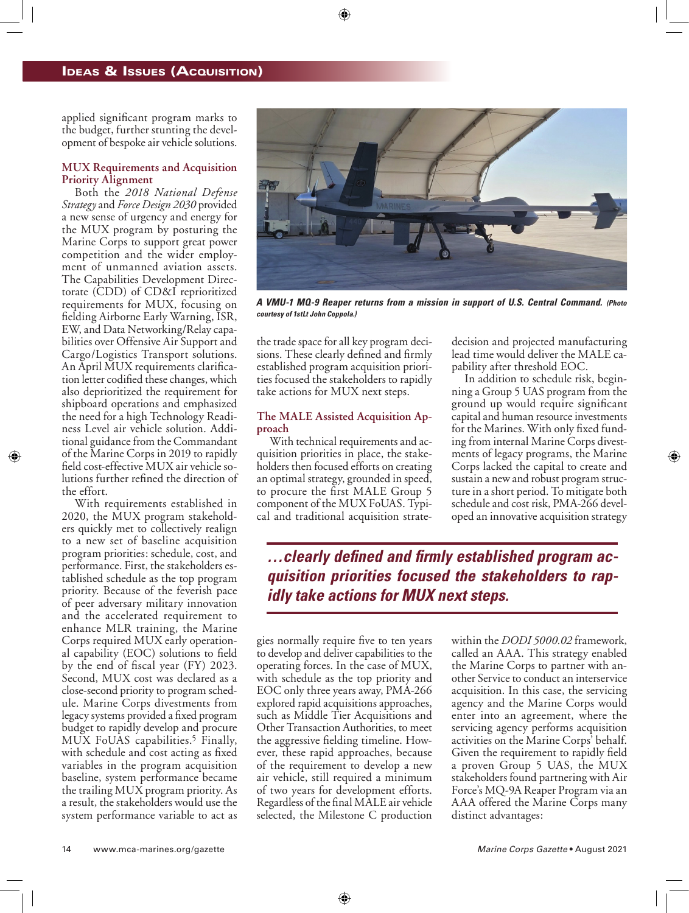applied significant program marks to the budget, further stunting the development of bespoke air vehicle solutions.

### **MUX Requirements and Acquisition Priority Alignment**

Both the *2018 National Defense Strategy* and *Force Design 2030* provided a new sense of urgency and energy for the MUX program by posturing the Marine Corps to support great power competition and the wider employment of unmanned aviation assets. The Capabilities Development Directorate (CDD) of CD&I reprioritized requirements for MUX, focusing on fielding Airborne Early Warning, ISR, EW, and Data Networking/Relay capabilities over Offensive Air Support and Cargo/Logistics Transport solutions. An April MUX requirements clarification letter codified these changes, which also deprioritized the requirement for shipboard operations and emphasized the need for a high Technology Readiness Level air vehicle solution. Additional guidance from the Commandant of the Marine Corps in 2019 to rapidly field cost-effective MUX air vehicle solutions further refined the direction of the effort.

With requirements established in 2020, the MUX program stakeholders quickly met to collectively realign to a new set of baseline acquisition program priorities: schedule, cost, and performance. First, the stakeholders established schedule as the top program priority. Because of the feverish pace of peer adversary military innovation and the accelerated requirement to enhance MLR training, the Marine Corps required MUX early operational capability (EOC) solutions to field by the end of fiscal year (FY) 2023. Second, MUX cost was declared as a close-second priority to program schedule. Marine Corps divestments from legacy systems provided a fixed program budget to rapidly develop and procure MUX FoUAS capabilities.5 Finally, with schedule and cost acting as fixed variables in the program acquisition baseline, system performance became the trailing MUX program priority. As a result, the stakeholders would use the system performance variable to act as



*A VMU-1 MQ-9 Reaper returns from a mission in support of U.S. Central Command. (Photo courtesy of 1stLt John Coppola.)*

the trade space for all key program decisions. These clearly defined and firmly established program acquisition priorities focused the stakeholders to rapidly take actions for MUX next steps.

## **The MALE Assisted Acquisition Approach**

With technical requirements and acquisition priorities in place, the stakeholders then focused efforts on creating an optimal strategy, grounded in speed, to procure the first MALE Group 5 component of the MUX FoUAS. Typical and traditional acquisition stratedecision and projected manufacturing lead time would deliver the MALE capability after threshold EOC.

In addition to schedule risk, beginning a Group 5 UAS program from the ground up would require significant capital and human resource investments for the Marines. With only fixed funding from internal Marine Corps divestments of legacy programs, the Marine Corps lacked the capital to create and sustain a new and robust program structure in a short period. To mitigate both schedule and cost risk, PMA-266 developed an innovative acquisition strategy

*…clearly defined and firmly established program acquisition priorities focused the stakeholders to rapidly take actions for MUX next steps.*

gies normally require five to ten years to develop and deliver capabilities to the operating forces. In the case of MUX, with schedule as the top priority and EOC only three years away, PMA-266 explored rapid acquisitions approaches, such as Middle Tier Acquisitions and Other Transaction Authorities, to meet the aggressive fielding timeline. However, these rapid approaches, because of the requirement to develop a new air vehicle, still required a minimum of two years for development efforts. Regardless of the final MALE air vehicle selected, the Milestone C production

within the *DODI 5000.02* framework, called an AAA. This strategy enabled the Marine Corps to partner with another Service to conduct an interservice acquisition. In this case, the servicing agency and the Marine Corps would enter into an agreement, where the servicing agency performs acquisition activities on the Marine Corps' behalf. Given the requirement to rapidly field a proven Group 5 UAS, the MUX stakeholders found partnering with Air Force's MQ-9A Reaper Program via an AAA offered the Marine Corps many distinct advantages: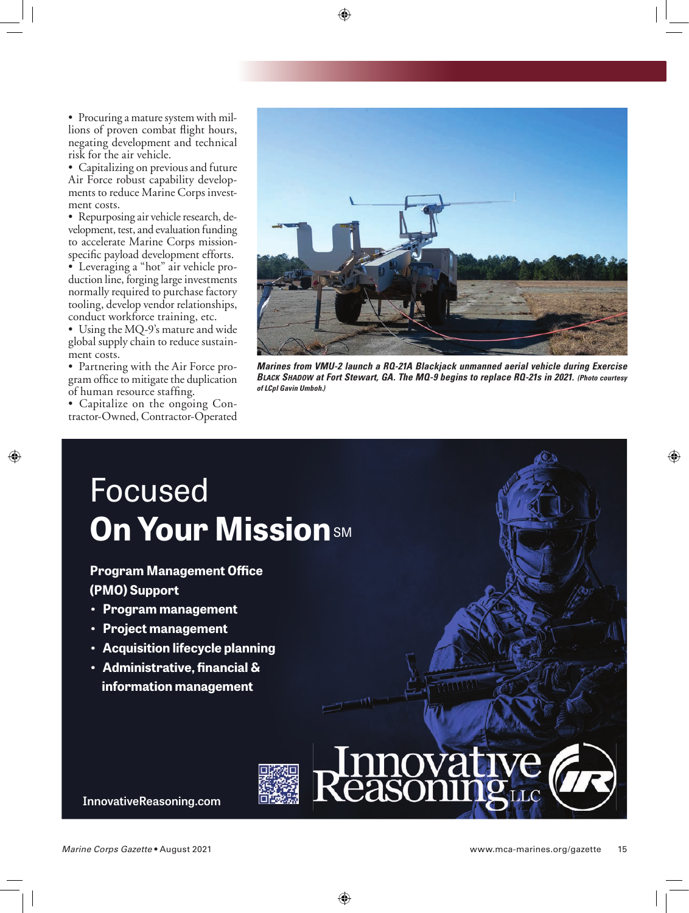• Procuring a mature system with millions of proven combat flight hours, negating development and technical risk for the air vehicle.

• Capitalizing on previous and future Air Force robust capability developments to reduce Marine Corps investment costs.

• Repurposing air vehicle research, development, test, and evaluation funding to accelerate Marine Corps missionspecific payload development efforts. • Leveraging a "hot" air vehicle production line, forging large investments normally required to purchase factory tooling, develop vendor relationships, conduct workforce training, etc.

• Using the MQ-9's mature and wide global supply chain to reduce sustainment costs.

• Partnering with the Air Force program office to mitigate the duplication of human resource staffing.

• Capitalize on the ongoing Contractor-Owned, Contractor-Operated



*Marines from VMU-2 launch a RQ-21A Blackjack unmanned aerial vehicle during Exercise BLACK SHADOW at Fort Stewart, GA. The MQ-9 begins to replace RQ-21s in 2021. (Photo courtesy of LCpl Gavin Umboh.)*

## Focused **[On Your Mission](https://www.innovativereasoning.com/)** SM

## **Program Management Office (PMO) Support**

- **Program management**
- **Project management**
- **Acquisition lifecycle planning**
- **Administrative, financial & information management**

**InnovativeReasoning.com**